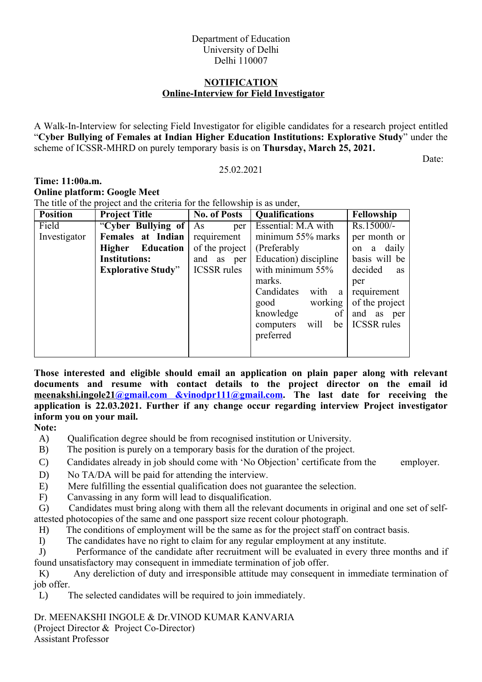## Department of Education University of Delhi Delhi 110007

## **NOTIFICATION Online-Interview for Field Investigator**

A Walk-In-Interview for selecting Field Investigator for eligible candidates for a research project entitled "**Cyber Bullying of Females at Indian Higher Education Institutions: Explorative Study**" under the scheme of ICSSR-MHRD on purely temporary basis is on **Thursday, March 25, 2021.**

## 25.02.2021

Date:

## **Time: 11:00a.m. Online platform: Google Meet**  The title of the project and the criteria for the fellowship is as under,

| <b>Position</b> | <b>Project Title</b>      | <b>No. of Posts</b> | <b>Qualifications</b>   | Fellowship           |
|-----------------|---------------------------|---------------------|-------------------------|----------------------|
| Field           | "Cyber Bullying of        | As<br>per           | Essential: M.A with     | $Rs.15000/-$         |
| Investigator    | Females at Indian         | requirement         | minimum 55% marks       | per month or         |
|                 | Higher Education          | of the project      | (Preferably)            | on a daily           |
|                 | <b>Institutions:</b>      | and as per          | Education) discipline   | basis will be        |
|                 | <b>Explorative Study"</b> | <b>ICSSR</b> rules  | with minimum $55\%$     | decided<br><b>as</b> |
|                 |                           |                     | marks.                  | per                  |
|                 |                           |                     | Candidates<br>with<br>a | requirement          |
|                 |                           |                     | working<br>good         | of the project       |
|                 |                           |                     | knowledge<br>of         | and<br>as<br>per     |
|                 |                           |                     | will<br>computers<br>be | <b>ICSSR</b> rules   |
|                 |                           |                     | preferred               |                      |
|                 |                           |                     |                         |                      |

**Those interested and eligible should email an application on plain paper along with relevant documents and resume with contact details to the project director on the email id meenakshi.ingole21@gmail.com &vinodpr111@gmail.com. The last date for receiving the application is 22.03.2021. Further if any change occur regarding interview Project investigator inform you on your mail.**

**Note:**

- A) Qualification degree should be from recognised institution or University.
- B) The position is purely on a temporary basis for the duration of the project.
- C) Candidates already in job should come with 'No Objection' certificate from the employer.
- D) No TA/DA will be paid for attending the interview.
- E) Mere fulfilling the essential qualification does not guarantee the selection.
- F) Canvassing in any form will lead to disqualification.

G) Candidates must bring along with them all the relevant documents in original and one set of selfattested photocopies of the same and one passport size recent colour photograph.

- H) The conditions of employment will be the same as for the project staff on contract basis.
- I) The candidates have no right to claim for any regular employment at any institute.

J) Performance of the candidate after recruitment will be evaluated in every three months and if found unsatisfactory may consequent in immediate termination of job offer.

K) Any dereliction of duty and irresponsible attitude may consequent in immediate termination of job offer.

L) The selected candidates will be required to join immediately.

Dr. MEENAKSHI INGOLE & Dr.VINOD KUMAR KANVARIA (Project Director & Project Co-Director) Assistant Professor